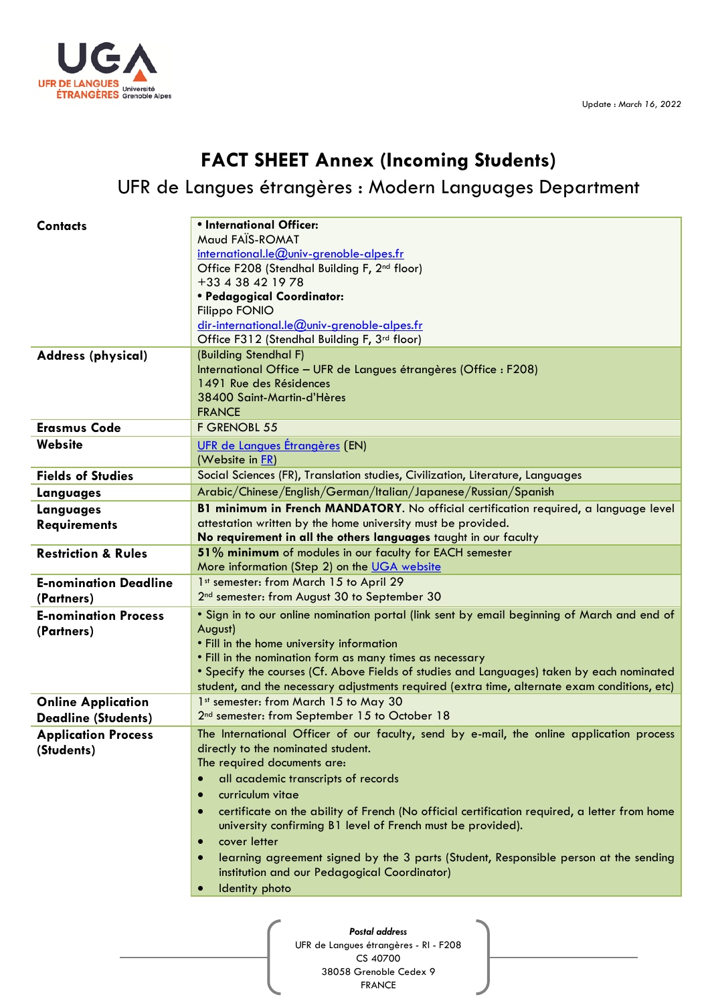

## **FACT SHEET Annex (Incoming Students)**

## UFR de Langues étrangères : Modern Languages Department

| <b>Contacts</b>                       | • International Officer:                                                                                  |
|---------------------------------------|-----------------------------------------------------------------------------------------------------------|
|                                       | Maud FAÏS-ROMAT                                                                                           |
|                                       | international.le@univ-grenoble-alpes.fr                                                                   |
|                                       | Office F208 (Stendhal Building F, 2 <sup>nd</sup> floor)                                                  |
|                                       | +33 4 38 42 19 78                                                                                         |
|                                       | • Pedagogical Coordinator:                                                                                |
|                                       | Filippo FONIO                                                                                             |
|                                       | dir-international.le@univ-grenoble-alpes.fr<br>Office F312 (Stendhal Building F, 3rd floor)               |
| <b>Address (physical)</b>             | (Building Stendhal F)                                                                                     |
|                                       | International Office - UFR de Langues étrangères (Office : F208)                                          |
|                                       | 1491 Rue des Résidences                                                                                   |
|                                       | 38400 Saint-Martin-d'Hères                                                                                |
| <b>Erasmus Code</b>                   | <b>FRANCE</b><br>F GRENOBL 55                                                                             |
| Website                               | UFR de Langues Étrangères (EN)                                                                            |
|                                       | (Website in FR)                                                                                           |
| <b>Fields of Studies</b>              | Social Sciences (FR), Translation studies, Civilization, Literature, Languages                            |
| Languages                             | Arabic/Chinese/English/German/Italian/Japanese/Russian/Spanish                                            |
| Languages                             | B1 minimum in French MANDATORY. No official certification required, a language level                      |
| <b>Requirements</b>                   | attestation written by the home university must be provided.                                              |
|                                       | No requirement in all the others languages taught in our faculty                                          |
| <b>Restriction &amp; Rules</b>        | 51% minimum of modules in our faculty for EACH semester                                                   |
|                                       | More information (Step 2) on the UGA website                                                              |
| <b>E-nomination Deadline</b>          | 1st semester: from March 15 to April 29                                                                   |
| (Partners)                            | 2 <sup>nd</sup> semester: from August 30 to September 30                                                  |
| <b>E-nomination Process</b>           | . Sign in to our online nomination portal (link sent by email beginning of March and end of               |
| (Partners)                            | August)<br>. Fill in the home university information                                                      |
|                                       | . Fill in the nomination form as many times as necessary                                                  |
|                                       | . Specify the courses (Cf. Above Fields of studies and Languages) taken by each nominated                 |
|                                       | student, and the necessary adjustments required (extra time, alternate exam conditions, etc)              |
| <b>Online Application</b>             | 1st semester: from March 15 to May 30                                                                     |
| <b>Deadline (Students)</b>            | 2 <sup>nd</sup> semester: from September 15 to October 18                                                 |
| <b>Application Process</b>            | The International Officer of our faculty, send by e-mail, the online application process                  |
| (Students)                            | directly to the nominated student.                                                                        |
|                                       | The required documents are:                                                                               |
|                                       | all academic transcripts of records                                                                       |
|                                       | curriculum vitae<br>$\bullet$                                                                             |
|                                       | certificate on the ability of French (No official certification required, a letter from home<br>$\bullet$ |
|                                       | university confirming B1 level of French must be provided).                                               |
|                                       | cover letter<br>$\bullet$                                                                                 |
|                                       | learning agreement signed by the 3 parts (Student, Responsible person at the sending                      |
|                                       | institution and our Pedagogical Coordinator)                                                              |
|                                       | Identity photo<br>$\bullet$                                                                               |
|                                       |                                                                                                           |
|                                       | <b>Postal address</b>                                                                                     |
| UFR de Langues étrangères - RI - F208 |                                                                                                           |

CS 40700 38058 Grenoble Cedex 9 FRANCE